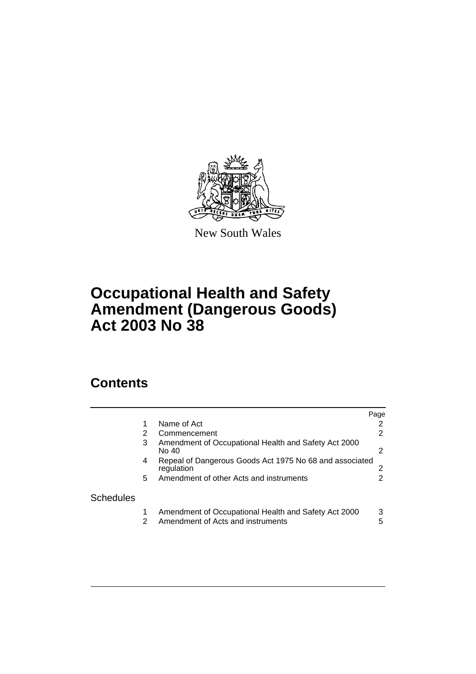

New South Wales

# **Occupational Health and Safety Amendment (Dangerous Goods) Act 2003 No 38**

# **Contents**

|                  |    |                                                                                           | Page   |
|------------------|----|-------------------------------------------------------------------------------------------|--------|
|                  |    | Name of Act                                                                               | 2      |
|                  | 2  | Commencement                                                                              | 2      |
|                  | 3  | Amendment of Occupational Health and Safety Act 2000<br>No 40                             | 2      |
|                  | 4  | Repeal of Dangerous Goods Act 1975 No 68 and associated<br>regulation                     |        |
|                  | 5. | Amendment of other Acts and instruments                                                   |        |
| <b>Schedules</b> |    |                                                                                           |        |
|                  | 2  | Amendment of Occupational Health and Safety Act 2000<br>Amendment of Acts and instruments | 3<br>5 |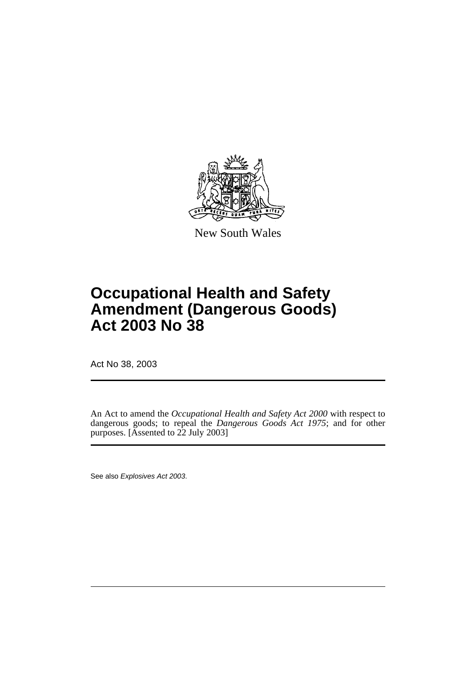

New South Wales

# **Occupational Health and Safety Amendment (Dangerous Goods) Act 2003 No 38**

Act No 38, 2003

An Act to amend the *Occupational Health and Safety Act 2000* with respect to dangerous goods; to repeal the *Dangerous Goods Act 1975*; and for other purposes. [Assented to 22 July 2003]

See also Explosives Act 2003.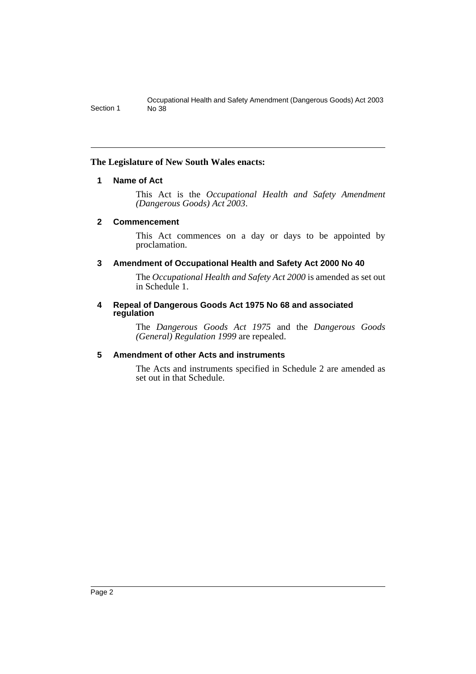## <span id="page-2-0"></span>**The Legislature of New South Wales enacts:**

#### **1 Name of Act**

This Act is the *Occupational Health and Safety Amendment (Dangerous Goods) Act 2003*.

#### <span id="page-2-1"></span>**2 Commencement**

This Act commences on a day or days to be appointed by proclamation.

# <span id="page-2-2"></span>**3 Amendment of Occupational Health and Safety Act 2000 No 40**

The *Occupational Health and Safety Act 2000* is amended as set out in Schedule 1.

#### <span id="page-2-3"></span>**4 Repeal of Dangerous Goods Act 1975 No 68 and associated regulation**

The *Dangerous Goods Act 1975* and the *Dangerous Goods (General) Regulation 1999* are repealed.

# <span id="page-2-4"></span>**5 Amendment of other Acts and instruments**

The Acts and instruments specified in Schedule 2 are amended as set out in that Schedule.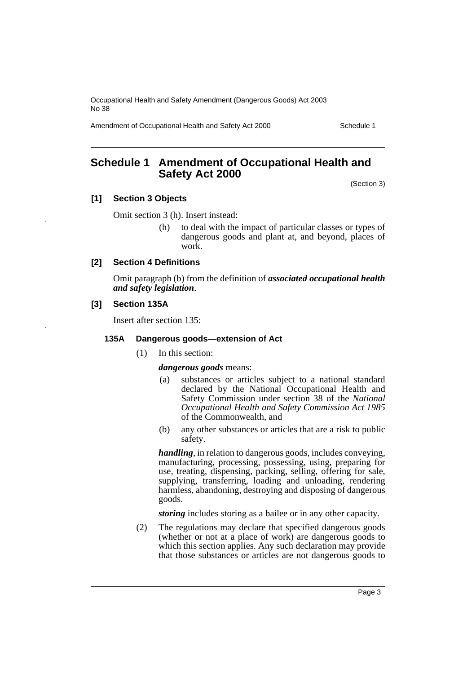Amendment of Occupational Health and Safety Act 2000 Schedule 1

# <span id="page-3-0"></span>**Schedule 1 Amendment of Occupational Health and Safety Act 2000**

(Section 3)

#### **[1] Section 3 Objects**

Omit section 3 (h). Insert instead:

(h) to deal with the impact of particular classes or types of dangerous goods and plant at, and beyond, places of work.

#### **[2] Section 4 Definitions**

Omit paragraph (b) from the definition of *associated occupational health and safety legislation*.

#### **[3] Section 135A**

Insert after section 135:

#### **135A Dangerous goods—extension of Act**

(1) In this section:

#### *dangerous goods* means:

- (a) substances or articles subject to a national standard declared by the National Occupational Health and Safety Commission under section 38 of the *National Occupational Health and Safety Commission Act 1985* of the Commonwealth, and
- (b) any other substances or articles that are a risk to public safety.

*handling*, in relation to dangerous goods, includes conveying, manufacturing, processing, possessing, using, preparing for use, treating, dispensing, packing, selling, offering for sale, supplying, transferring, loading and unloading, rendering harmless, abandoning, destroying and disposing of dangerous goods.

*storing* includes storing as a bailee or in any other capacity.

(2) The regulations may declare that specified dangerous goods (whether or not at a place of work) are dangerous goods to which this section applies. Any such declaration may provide that those substances or articles are not dangerous goods to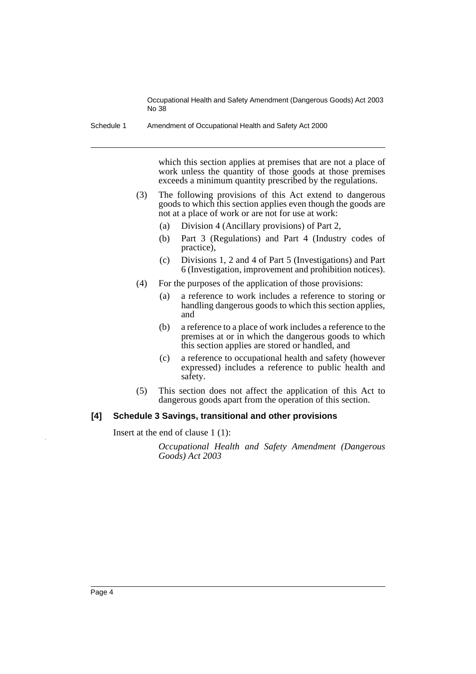Schedule 1 Amendment of Occupational Health and Safety Act 2000

which this section applies at premises that are not a place of work unless the quantity of those goods at those premises exceeds a minimum quantity prescribed by the regulations.

- (3) The following provisions of this Act extend to dangerous goods to which this section applies even though the goods are not at a place of work or are not for use at work:
	- (a) Division 4 (Ancillary provisions) of Part 2,
	- (b) Part 3 (Regulations) and Part 4 (Industry codes of practice),
	- (c) Divisions 1, 2 and 4 of Part 5 (Investigations) and Part 6 (Investigation, improvement and prohibition notices).
- (4) For the purposes of the application of those provisions:
	- (a) a reference to work includes a reference to storing or handling dangerous goods to which this section applies, and
	- (b) a reference to a place of work includes a reference to the premises at or in which the dangerous goods to which this section applies are stored or handled, and
	- (c) a reference to occupational health and safety (however expressed) includes a reference to public health and safety.
- (5) This section does not affect the application of this Act to dangerous goods apart from the operation of this section.

#### **[4] Schedule 3 Savings, transitional and other provisions**

Insert at the end of clause 1 (1):

*Occupational Health and Safety Amendment (Dangerous Goods) Act 2003*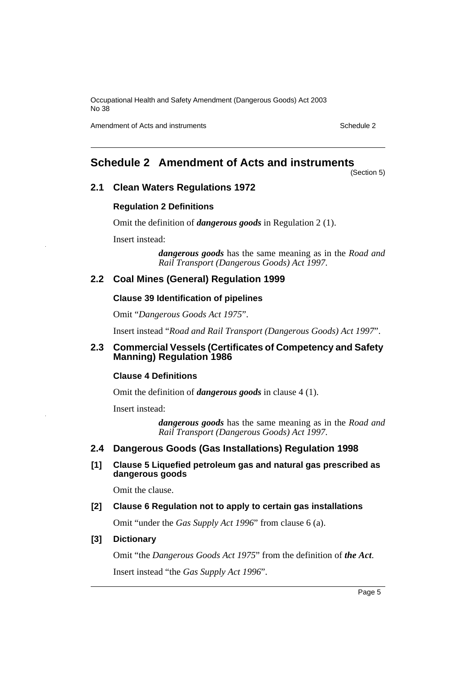Amendment of Acts and instruments Schedule 2

# <span id="page-5-0"></span>**Schedule 2 Amendment of Acts and instruments**

(Section 5)

#### **2.1 Clean Waters Regulations 1972**

#### **Regulation 2 Definitions**

Omit the definition of *dangerous goods* in Regulation 2 (1).

Insert instead:

*dangerous goods* has the same meaning as in the *Road and Rail Transport (Dangerous Goods) Act 1997*.

## **2.2 Coal Mines (General) Regulation 1999**

#### **Clause 39 Identification of pipelines**

Omit "*Dangerous Goods Act 1975*".

Insert instead "*Road and Rail Transport (Dangerous Goods) Act 1997*".

#### **2.3 Commercial Vessels (Certificates of Competency and Safety Manning) Regulation 1986**

#### **Clause 4 Definitions**

Omit the definition of *dangerous goods* in clause 4 (1).

Insert instead:

*dangerous goods* has the same meaning as in the *Road and Rail Transport (Dangerous Goods) Act 1997*.

# **2.4 Dangerous Goods (Gas Installations) Regulation 1998**

**[1] Clause 5 Liquefied petroleum gas and natural gas prescribed as dangerous goods**

Omit the clause.

#### **[2] Clause 6 Regulation not to apply to certain gas installations**

Omit "under the *Gas Supply Act 1996*" from clause 6 (a).

#### **[3] Dictionary**

Omit "the *Dangerous Goods Act 1975*" from the definition of *the Act*. Insert instead "the *Gas Supply Act 1996*".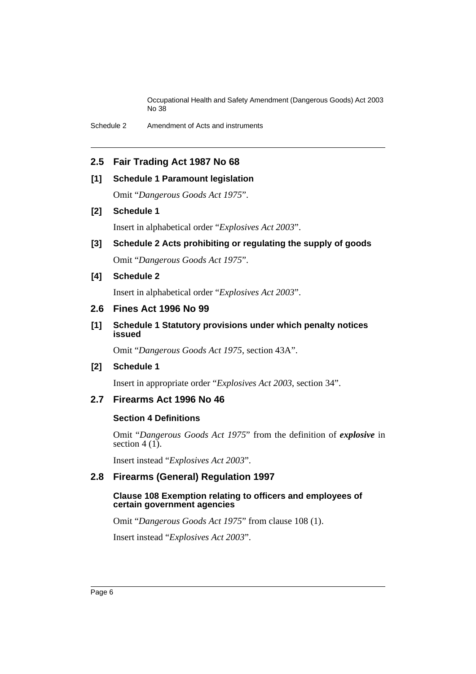Schedule 2 Amendment of Acts and instruments

# **2.5 Fair Trading Act 1987 No 68**

#### **[1] Schedule 1 Paramount legislation**

Omit "*Dangerous Goods Act 1975*".

#### **[2] Schedule 1**

Insert in alphabetical order "*Explosives Act 2003*".

**[3] Schedule 2 Acts prohibiting or regulating the supply of goods** Omit "*Dangerous Goods Act 1975*".

# **[4] Schedule 2**

Insert in alphabetical order "*Explosives Act 2003*".

### **2.6 Fines Act 1996 No 99**

**[1] Schedule 1 Statutory provisions under which penalty notices issued**

Omit "*Dangerous Goods Act 1975*, section 43A".

# **[2] Schedule 1**

Insert in appropriate order "*Explosives Act 2003*, section 34".

# **2.7 Firearms Act 1996 No 46**

#### **Section 4 Definitions**

Omit "*Dangerous Goods Act 1975*" from the definition of *explosive* in section  $4(1)$ .

Insert instead "*Explosives Act 2003*".

# **2.8 Firearms (General) Regulation 1997**

#### **Clause 108 Exemption relating to officers and employees of certain government agencies**

Omit "*Dangerous Goods Act 1975*" from clause 108 (1).

Insert instead "*Explosives Act 2003*".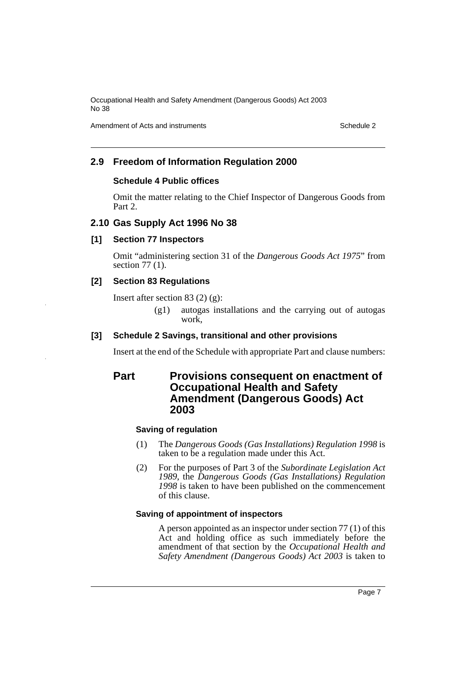Amendment of Acts and instruments Schedule 2

# **2.9 Freedom of Information Regulation 2000**

#### **Schedule 4 Public offices**

Omit the matter relating to the Chief Inspector of Dangerous Goods from Part 2.

#### **2.10 Gas Supply Act 1996 No 38**

#### **[1] Section 77 Inspectors**

Omit "administering section 31 of the *Dangerous Goods Act 1975*" from section 77 (1).

# **[2] Section 83 Regulations**

Insert after section 83 (2) (g):

(g1) autogas installations and the carrying out of autogas work.

#### **[3] Schedule 2 Savings, transitional and other provisions**

Insert at the end of the Schedule with appropriate Part and clause numbers:

# **Part Provisions consequent on enactment of Occupational Health and Safety Amendment (Dangerous Goods) Act 2003**

#### **Saving of regulation**

- (1) The *Dangerous Goods (Gas Installations) Regulation 1998* is taken to be a regulation made under this Act.
- (2) For the purposes of Part 3 of the *Subordinate Legislation Act 1989*, the *Dangerous Goods (Gas Installations) Regulation 1998* is taken to have been published on the commencement of this clause.

#### **Saving of appointment of inspectors**

A person appointed as an inspector under section 77 (1) of this Act and holding office as such immediately before the amendment of that section by the *Occupational Health and Safety Amendment (Dangerous Goods) Act 2003* is taken to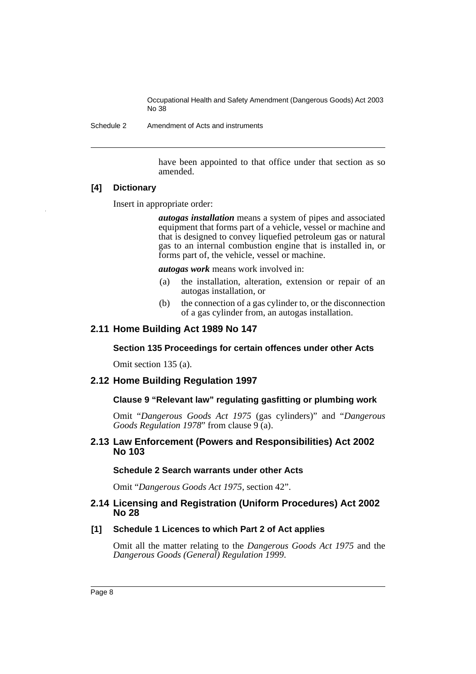Schedule 2 Amendment of Acts and instruments

have been appointed to that office under that section as so amended.

#### **[4] Dictionary**

Insert in appropriate order:

*autogas installation* means a system of pipes and associated equipment that forms part of a vehicle, vessel or machine and that is designed to convey liquefied petroleum gas or natural gas to an internal combustion engine that is installed in, or forms part of, the vehicle, vessel or machine.

*autogas work* means work involved in:

- (a) the installation, alteration, extension or repair of an autogas installation, or
- (b) the connection of a gas cylinder to, or the disconnection of a gas cylinder from, an autogas installation.

# **2.11 Home Building Act 1989 No 147**

#### **Section 135 Proceedings for certain offences under other Acts**

Omit section 135 (a).

# **2.12 Home Building Regulation 1997**

# **Clause 9 "Relevant law" regulating gasfitting or plumbing work**

Omit "*Dangerous Goods Act 1975* (gas cylinders)" and "*Dangerous Goods Regulation 1978*" from clause 9 (a).

#### **2.13 Law Enforcement (Powers and Responsibilities) Act 2002 No 103**

#### **Schedule 2 Search warrants under other Acts**

Omit "*Dangerous Goods Act 1975*, section 42".

#### **2.14 Licensing and Registration (Uniform Procedures) Act 2002 No 28**

#### **[1] Schedule 1 Licences to which Part 2 of Act applies**

Omit all the matter relating to the *Dangerous Goods Act 1975* and the *Dangerous Goods (General) Regulation 1999*.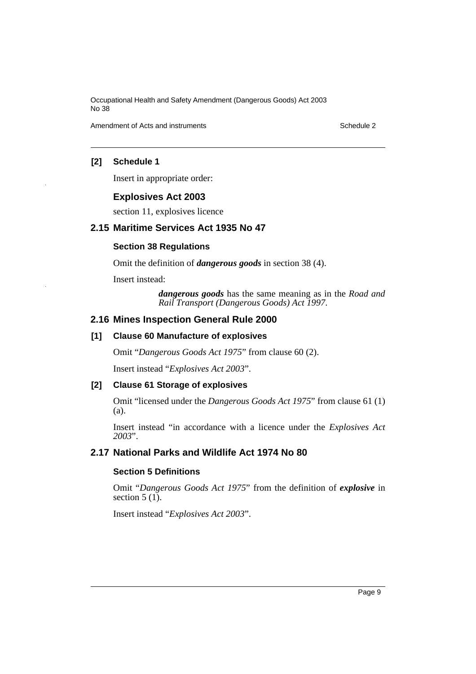Amendment of Acts and instruments **Schedule 2** and instruments Schedule 2 and instruments

## **[2] Schedule 1**

Insert in appropriate order:

#### **Explosives Act 2003**

section 11, explosives licence

## **2.15 Maritime Services Act 1935 No 47**

## **Section 38 Regulations**

Omit the definition of *dangerous goods* in section 38 (4).

Insert instead:

*dangerous goods* has the same meaning as in the *Road and Rail Transport (Dangerous Goods) Act 1997*.

# **2.16 Mines Inspection General Rule 2000**

## **[1] Clause 60 Manufacture of explosives**

Omit "*Dangerous Goods Act 1975*" from clause 60 (2).

Insert instead "*Explosives Act 2003*".

#### **[2] Clause 61 Storage of explosives**

Omit "licensed under the *Dangerous Goods Act 1975*" from clause 61 (1) (a).

Insert instead "in accordance with a licence under the *Explosives Act 2003*".

# **2.17 National Parks and Wildlife Act 1974 No 80**

# **Section 5 Definitions**

Omit "*Dangerous Goods Act 1975*" from the definition of *explosive* in section  $5(1)$ .

Insert instead "*Explosives Act 2003*".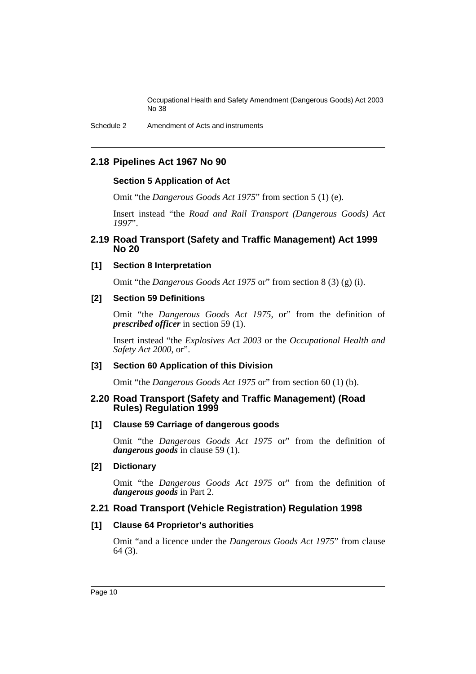Schedule 2 Amendment of Acts and instruments

# **2.18 Pipelines Act 1967 No 90**

#### **Section 5 Application of Act**

Omit "the *Dangerous Goods Act 1975*" from section 5 (1) (e).

Insert instead "the *Road and Rail Transport (Dangerous Goods) Act 1997*".

## **2.19 Road Transport (Safety and Traffic Management) Act 1999 No 20**

### **[1] Section 8 Interpretation**

Omit "the *Dangerous Goods Act 1975* or" from section 8 (3) (g) (i).

#### **[2] Section 59 Definitions**

Omit "the *Dangerous Goods Act 1975*, or" from the definition of *prescribed officer* in section 59 (1).

Insert instead "the *Explosives Act 2003* or the *Occupational Health and Safety Act 2000*, or".

# **[3] Section 60 Application of this Division**

Omit "the *Dangerous Goods Act 1975* or" from section 60 (1) (b).

#### **2.20 Road Transport (Safety and Traffic Management) (Road Rules) Regulation 1999**

# **[1] Clause 59 Carriage of dangerous goods**

Omit "the *Dangerous Goods Act 1975* or" from the definition of *dangerous goods* in clause 59 (1).

#### **[2] Dictionary**

Omit "the *Dangerous Goods Act 1975* or" from the definition of *dangerous goods* in Part 2.

# **2.21 Road Transport (Vehicle Registration) Regulation 1998**

# **[1] Clause 64 Proprietor's authorities**

Omit "and a licence under the *Dangerous Goods Act 1975*" from clause 64 (3).